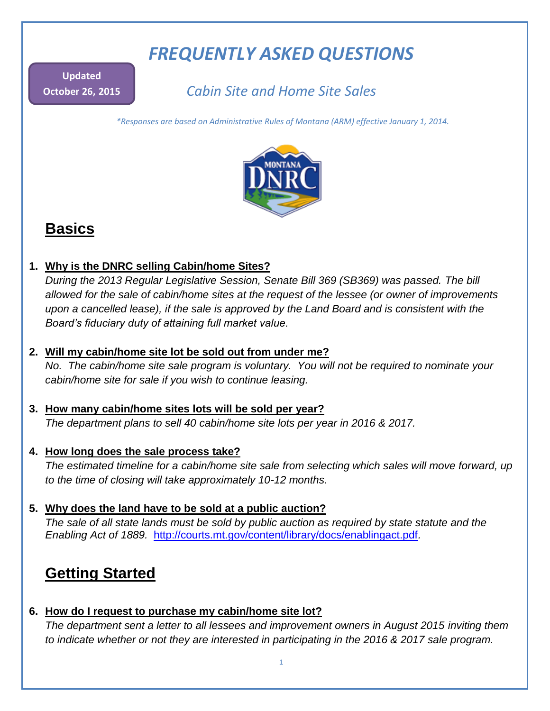# *FREQUENTLY ASKED QUESTIONS*

**Updated October 26, 2015**

*Cabin Site and Home Site Sales*

*\*Responses are based on Administrative Rules of Montana (ARM) effective January 1, 2014.*



## **Basics**

**1. Why is the DNRC selling Cabin/home Sites?** 

*During the 2013 Regular Legislative Session, Senate Bill 369 (SB369) was passed. The bill allowed for the sale of cabin/home sites at the request of the lessee (or owner of improvements upon a cancelled lease), if the sale is approved by the Land Board and is consistent with the Board's fiduciary duty of attaining full market value.* 

## **2. Will my cabin/home site lot be sold out from under me?**

*No. The cabin/home site sale program is voluntary. You will not be required to nominate your cabin/home site for sale if you wish to continue leasing.*

- **3. How many cabin/home sites lots will be sold per year?**  *The department plans to sell 40 cabin/home site lots per year in 2016 & 2017.*
- **4. How long does the sale process take?**

*The estimated timeline for a cabin/home site sale from selecting which sales will move forward, up to the time of closing will take approximately 10-12 months.* 

## **5. Why does the land have to be sold at a public auction?**

*The sale of all state lands must be sold by public auction as required by state statute and the Enabling Act of 1889.* <http://courts.mt.gov/content/library/docs/enablingact.pdf>*.*

## **Getting Started**

## **6. How do I request to purchase my cabin/home site lot?**

*The department sent a letter to all lessees and improvement owners in August 2015 inviting them to indicate whether or not they are interested in participating in the 2016 & 2017 sale program.*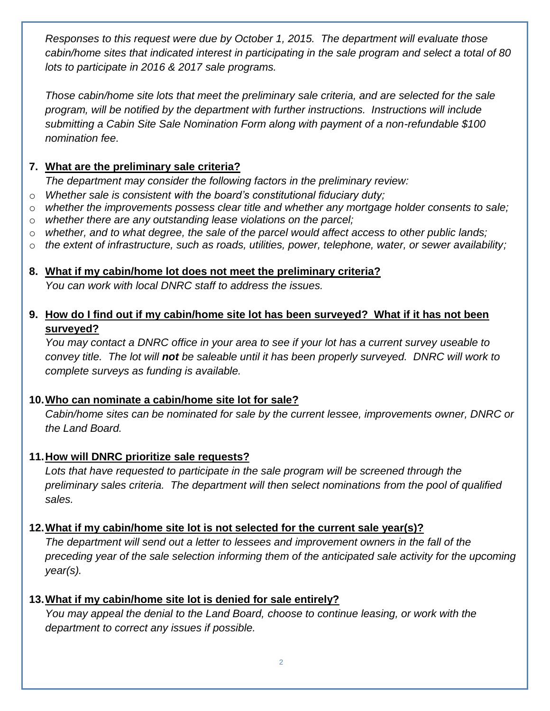*Responses to this request were due by October 1, 2015. The department will evaluate those cabin/home sites that indicated interest in participating in the sale program and select a total of 80 lots to participate in 2016 & 2017 sale programs.*

*Those cabin/home site lots that meet the preliminary sale criteria, and are selected for the sale program, will be notified by the department with further instructions. Instructions will include submitting a Cabin Site Sale Nomination Form along with payment of a non-refundable \$100 nomination fee.*

## **7. What are the preliminary sale criteria?**

*The department may consider the following factors in the preliminary review:*

- o *Whether sale is consistent with the board's constitutional fiduciary duty;*
- o *whether the improvements possess clear title and whether any mortgage holder consents to sale;*
- o *whether there are any outstanding lease violations on the parcel;*
- o *whether, and to what degree, the sale of the parcel would affect access to other public lands;*
- o *the extent of infrastructure, such as roads, utilities, power, telephone, water, or sewer availability;*

#### **8. What if my cabin/home lot does not meet the preliminary criteria?**

*You can work with local DNRC staff to address the issues.* 

## **9. How do I find out if my cabin/home site lot has been surveyed? What if it has not been surveyed?**

*You may contact a DNRC office in your area to see if your lot has a current survey useable to convey title. The lot will not be saleable until it has been properly surveyed. DNRC will work to complete surveys as funding is available.*

### **10.Who can nominate a cabin/home site lot for sale?**

*Cabin/home sites can be nominated for sale by the current lessee, improvements owner, DNRC or the Land Board.* 

## **11.How will DNRC prioritize sale requests?**

*Lots that have requested to participate in the sale program will be screened through the preliminary sales criteria. The department will then select nominations from the pool of qualified sales.*

## **12.What if my cabin/home site lot is not selected for the current sale year(s)?**

*The department will send out a letter to lessees and improvement owners in the fall of the preceding year of the sale selection informing them of the anticipated sale activity for the upcoming year(s).*

## **13.What if my cabin/home site lot is denied for sale entirely?**

*You may appeal the denial to the Land Board, choose to continue leasing, or work with the department to correct any issues if possible.*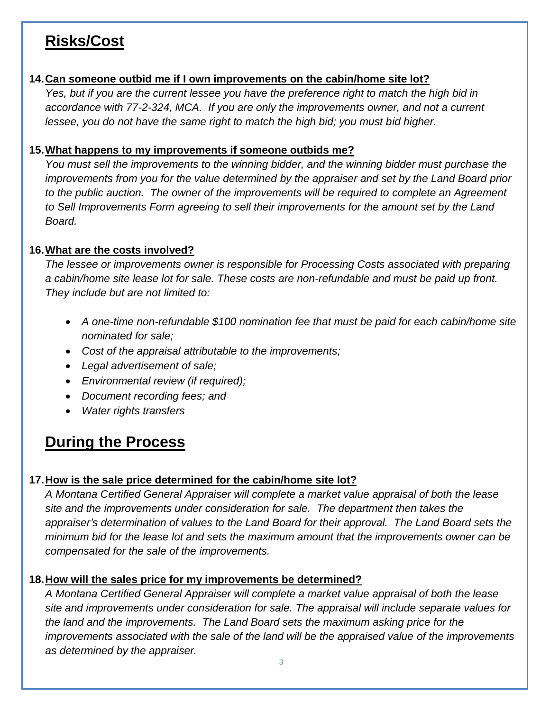## **Risks/Cost**

### **14.Can someone outbid me if I own improvements on the cabin/home site lot?**

*Yes, but if you are the current lessee you have the preference right to match the high bid in accordance with 77-2-324, MCA. If you are only the improvements owner, and not a current lessee, you do not have the same right to match the high bid; you must bid higher.* 

## **15.What happens to my improvements if someone outbids me?**

*You must sell the improvements to the winning bidder, and the winning bidder must purchase the improvements from you for the value determined by the appraiser and set by the Land Board prior*  to the public auction. The owner of the improvements will be required to complete an Agreement *to Sell Improvements Form agreeing to sell their improvements for the amount set by the Land Board.*

### **16.What are the costs involved?**

*The lessee or improvements owner is responsible for Processing Costs associated with preparing a cabin/home site lease lot for sale. These costs are non-refundable and must be paid up front. They include but are not limited to:*

- *A one-time non-refundable \$100 nomination fee that must be paid for each cabin/home site nominated for sale;*
- *Cost of the appraisal attributable to the improvements;*
- *Legal advertisement of sale;*
- *Environmental review (if required);*
- *Document recording fees; and*
- *Water rights transfers*

## **During the Process**

## **17.How is the sale price determined for the cabin/home site lot?**

*A Montana Certified General Appraiser will complete a market value appraisal of both the lease site and the improvements under consideration for sale. The department then takes the appraiser's determination of values to the Land Board for their approval. The Land Board sets the minimum bid for the lease lot and sets the maximum amount that the improvements owner can be compensated for the sale of the improvements.*

## **18.How will the sales price for my improvements be determined?**

*A Montana Certified General Appraiser will complete a market value appraisal of both the lease site and improvements under consideration for sale. The appraisal will include separate values for the land and the improvements. The Land Board sets the maximum asking price for the improvements associated with the sale of the land will be the appraised value of the improvements as determined by the appraiser.*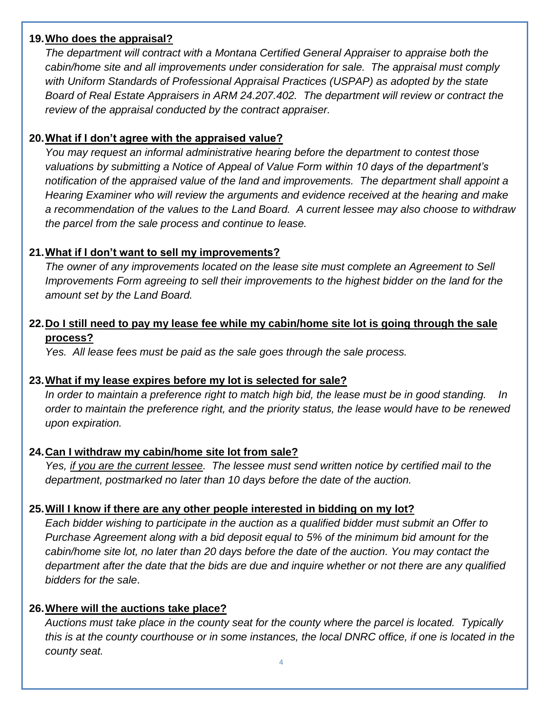#### **19.Who does the appraisal?**

*The department will contract with a Montana Certified General Appraiser to appraise both the cabin/home site and all improvements under consideration for sale. The appraisal must comply with Uniform Standards of Professional Appraisal Practices (USPAP) as adopted by the state Board of Real Estate Appraisers in ARM 24.207.402. The department will review or contract the review of the appraisal conducted by the contract appraiser.*

#### **20.What if I don't agree with the appraised value?**

*You may request an informal administrative hearing before the department to contest those valuations by submitting a Notice of Appeal of Value Form within 10 days of the department's notification of the appraised value of the land and improvements. The department shall appoint a Hearing Examiner who will review the arguments and evidence received at the hearing and make a recommendation of the values to the Land Board. A current lessee may also choose to withdraw the parcel from the sale process and continue to lease.*

#### **21.What if I don't want to sell my improvements?**

*The owner of any improvements located on the lease site must complete an Agreement to Sell Improvements Form agreeing to sell their improvements to the highest bidder on the land for the amount set by the Land Board.*

### **22.Do I still need to pay my lease fee while my cabin/home site lot is going through the sale process?**

*Yes. All lease fees must be paid as the sale goes through the sale process.*

#### **23.What if my lease expires before my lot is selected for sale?**

In order to maintain a preference right to match high bid, the lease must be in good standing. *order to maintain the preference right, and the priority status, the lease would have to be renewed upon expiration.*

#### **24.Can I withdraw my cabin/home site lot from sale?**

*Yes, if you are the current lessee. The lessee must send written notice by certified mail to the department, postmarked no later than 10 days before the date of the auction.* 

#### **25.Will I know if there are any other people interested in bidding on my lot?**

*Each bidder wishing to participate in the auction as a qualified bidder must submit an Offer to Purchase Agreement along with a bid deposit equal to 5% of the minimum bid amount for the cabin/home site lot, no later than 20 days before the date of the auction. You may contact the department after the date that the bids are due and inquire whether or not there are any qualified bidders for the sale*.

#### **26.Where will the auctions take place?**

*Auctions must take place in the county seat for the county where the parcel is located. Typically this is at the county courthouse or in some instances, the local DNRC office, if one is located in the county seat.*